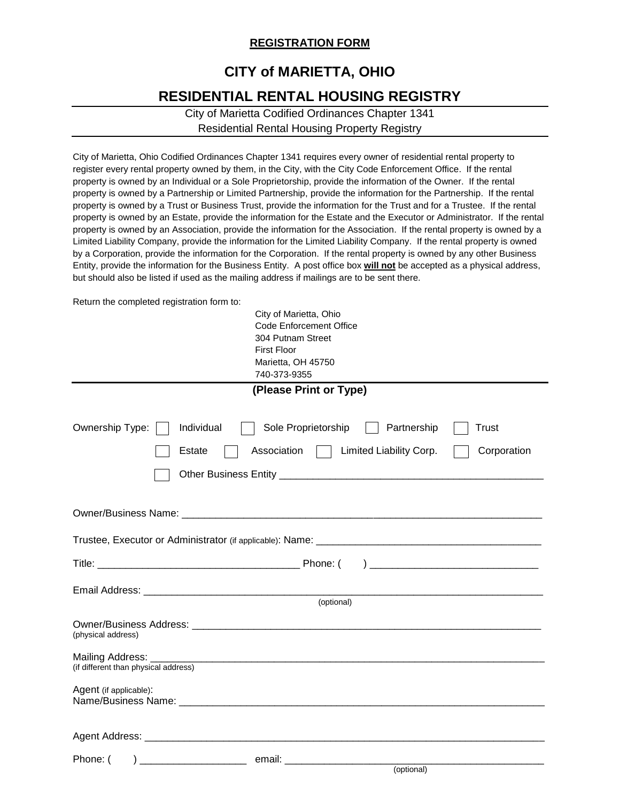## **REGISTRATION FORM**

## **CITY of MARIETTA, OHIO RESIDENTIAL RENTAL HOUSING REGISTRY**

## City of Marietta Codified Ordinances Chapter 1341 Residential Rental Housing Property Registry

City of Marietta, Ohio Codified Ordinances Chapter 1341 requires every owner of residential rental property to register every rental property owned by them, in the City, with the City Code Enforcement Office. If the rental property is owned by an Individual or a Sole Proprietorship, provide the information of the Owner. If the rental property is owned by a Partnership or Limited Partnership, provide the information for the Partnership. If the rental property is owned by a Trust or Business Trust, provide the information for the Trust and for a Trustee. If the rental property is owned by an Estate, provide the information for the Estate and the Executor or Administrator. If the rental property is owned by an Association, provide the information for the Association. If the rental property is owned by a Limited Liability Company, provide the information for the Limited Liability Company. If the rental property is owned by a Corporation, provide the information for the Corporation. If the rental property is owned by any other Business Entity, provide the information for the Business Entity. A post office box **will not** be accepted as a physical address, but should also be listed if used as the mailing address if mailings are to be sent there.

Return the completed registration form to:

| City of Marietta, Ohio<br><b>Code Enforcement Office</b><br>304 Putnam Street<br><b>First Floor</b><br>Marietta, OH 45750 |  |
|---------------------------------------------------------------------------------------------------------------------------|--|
| 740-373-9355                                                                                                              |  |
| (Please Print or Type)                                                                                                    |  |
|                                                                                                                           |  |
| Ownership Type:<br>Individual<br>Sole Proprietorship<br>Partnership<br>Trust                                              |  |
| Limited Liability Corp.<br>Association<br>Corporation<br>Estate                                                           |  |
|                                                                                                                           |  |
|                                                                                                                           |  |
|                                                                                                                           |  |
|                                                                                                                           |  |
|                                                                                                                           |  |
|                                                                                                                           |  |
| (optional)                                                                                                                |  |
| (physical address)                                                                                                        |  |
| (if different than physical address)                                                                                      |  |
| Agent (if applicable):                                                                                                    |  |
|                                                                                                                           |  |
| Phone: (                                                                                                                  |  |
| (optional)                                                                                                                |  |